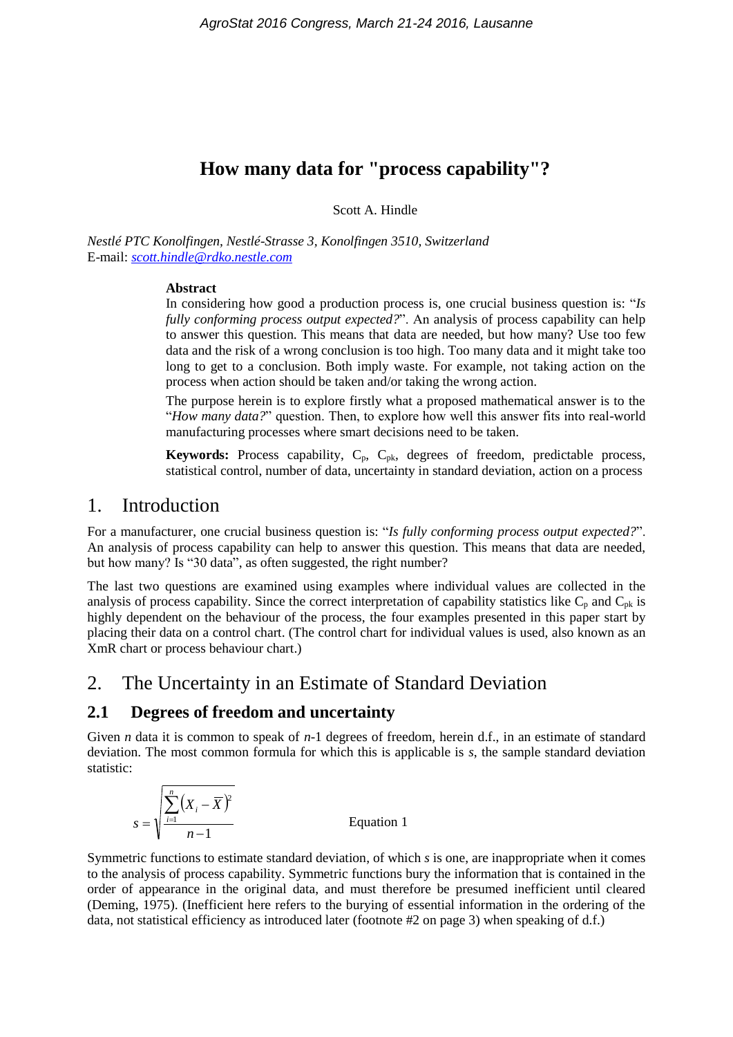# **How many data for "process capability"?**

Scott A. Hindle

*Nestlé PTC Konolfingen, Nestlé-Strasse 3, Konolfingen 3510, Switzerland* E-mail: *[scott.hindle@rdko.nestle.com](mailto:scott.hindle@rdko.nestle.com)*

#### **Abstract**

In considering how good a production process is, one crucial business question is: "*Is fully conforming process output expected?*". An analysis of process capability can help to answer this question. This means that data are needed, but how many? Use too few data and the risk of a wrong conclusion is too high. Too many data and it might take too long to get to a conclusion. Both imply waste. For example, not taking action on the process when action should be taken and/or taking the wrong action.

The purpose herein is to explore firstly what a proposed mathematical answer is to the "*How many data?*" question. Then, to explore how well this answer fits into real-world manufacturing processes where smart decisions need to be taken.

**Keywords:** Process capability, C<sub>p</sub>, C<sub>pk</sub>, degrees of freedom, predictable process, statistical control, number of data, uncertainty in standard deviation, action on a process

### 1. Introduction

For a manufacturer, one crucial business question is: "*Is fully conforming process output expected?*". An analysis of process capability can help to answer this question. This means that data are needed, but how many? Is "30 data", as often suggested, the right number?

The last two questions are examined using examples where individual values are collected in the analysis of process capability. Since the correct interpretation of capability statistics like  $C_p$  and  $C_{pk}$  is highly dependent on the behaviour of the process, the four examples presented in this paper start by placing their data on a control chart. (The control chart for individual values is used, also known as an XmR chart or process behaviour chart.)

# 2. The Uncertainty in an Estimate of Standard Deviation

### **2.1 Degrees of freedom and uncertainty**

Given *n* data it is common to speak of *n*-1 degrees of freedom, herein d.f., in an estimate of standard deviation. The most common formula for which this is applicable is *s*, the sample standard deviation statistic:

$$
s = \sqrt{\frac{\sum_{i=1}^{n} (X_i - \overline{X})^2}{n-1}}
$$
 Equation 1

Symmetric functions to estimate standard deviation, of which *s* is one, are inappropriate when it comes to the analysis of process capability. Symmetric functions bury the information that is contained in the order of appearance in the original data, and must therefore be presumed inefficient until cleared (Deming, 1975). (Inefficient here refers to the burying of essential information in the ordering of the data, not statistical efficiency as introduced later (footnote #2 on page 3) when speaking of d.f.)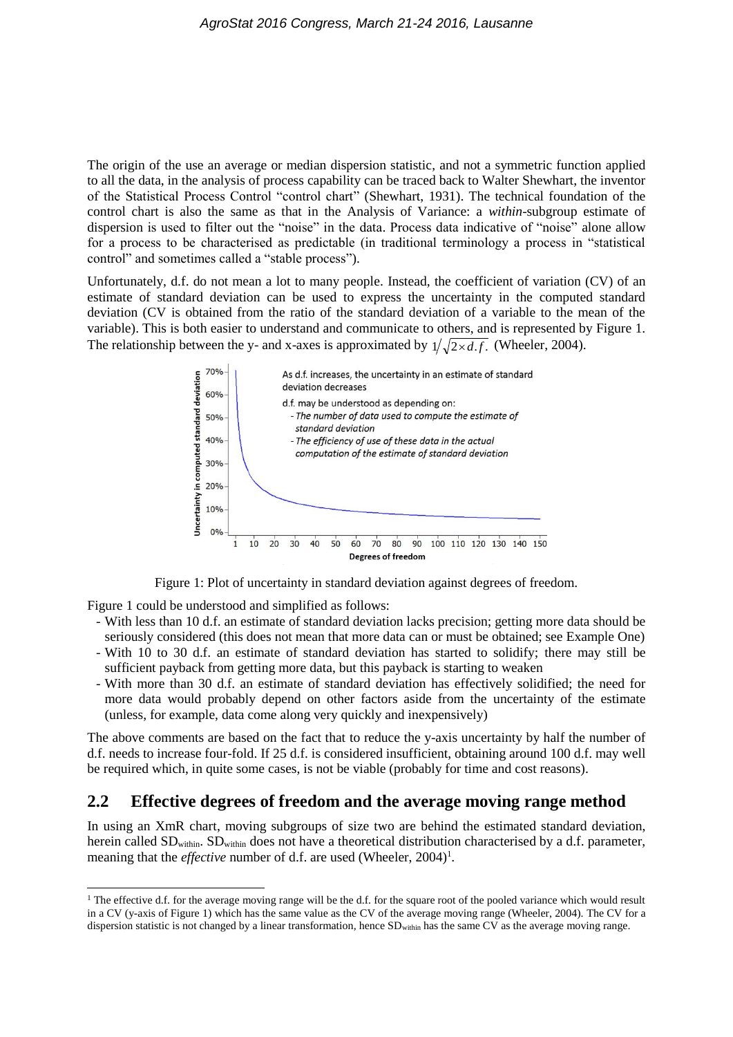The origin of the use an average or median dispersion statistic, and not a symmetric function applied to all the data, in the analysis of process capability can be traced back to Walter Shewhart, the inventor of the Statistical Process Control "control chart" (Shewhart, 1931). The technical foundation of the control chart is also the same as that in the Analysis of Variance: a *within*-subgroup estimate of dispersion is used to filter out the "noise" in the data. Process data indicative of "noise" alone allow for a process to be characterised as predictable (in traditional terminology a process in "statistical control" and sometimes called a "stable process").

Unfortunately, d.f. do not mean a lot to many people. Instead, the coefficient of variation (CV) of an estimate of standard deviation can be used to express the uncertainty in the computed standard deviation (CV is obtained from the ratio of the standard deviation of a variable to the mean of the variable). This is both easier to understand and communicate to others, and is represented by Figure 1. The relationship between the y- and x-axes is approximated by  $1/\sqrt{2 \times d.f}$ . (Wheeler, 2004).



Figure 1: Plot of uncertainty in standard deviation against degrees of freedom.

Figure 1 could be understood and simplified as follows:

- With less than 10 d.f. an estimate of standard deviation lacks precision; getting more data should be seriously considered (this does not mean that more data can or must be obtained; see Example One)
- With 10 to 30 d.f. an estimate of standard deviation has started to solidify; there may still be sufficient payback from getting more data, but this payback is starting to weaken
- With more than 30 d.f. an estimate of standard deviation has effectively solidified; the need for more data would probably depend on other factors aside from the uncertainty of the estimate (unless, for example, data come along very quickly and inexpensively)

The above comments are based on the fact that to reduce the y-axis uncertainty by half the number of d.f. needs to increase four-fold. If 25 d.f. is considered insufficient, obtaining around 100 d.f. may well be required which, in quite some cases, is not be viable (probably for time and cost reasons).

### **2.2 Effective degrees of freedom and the average moving range method**

In using an XmR chart, moving subgroups of size two are behind the estimated standard deviation, herein called SD<sub>within</sub>. SD<sub>within</sub> does not have a theoretical distribution characterised by a d.f. parameter, meaning that the *effective* number of d.f. are used (Wheeler, 2004)<sup>1</sup>.

<sup>&</sup>lt;sup>1</sup> The effective d.f. for the average moving range will be the d.f. for the square root of the pooled variance which would result in a CV (y-axis of Figure 1) which has the same value as the CV of the average moving range (Wheeler, 2004). The CV for a dispersion statistic is not changed by a linear transformation, hence SDwithin has the same CV as the average moving range.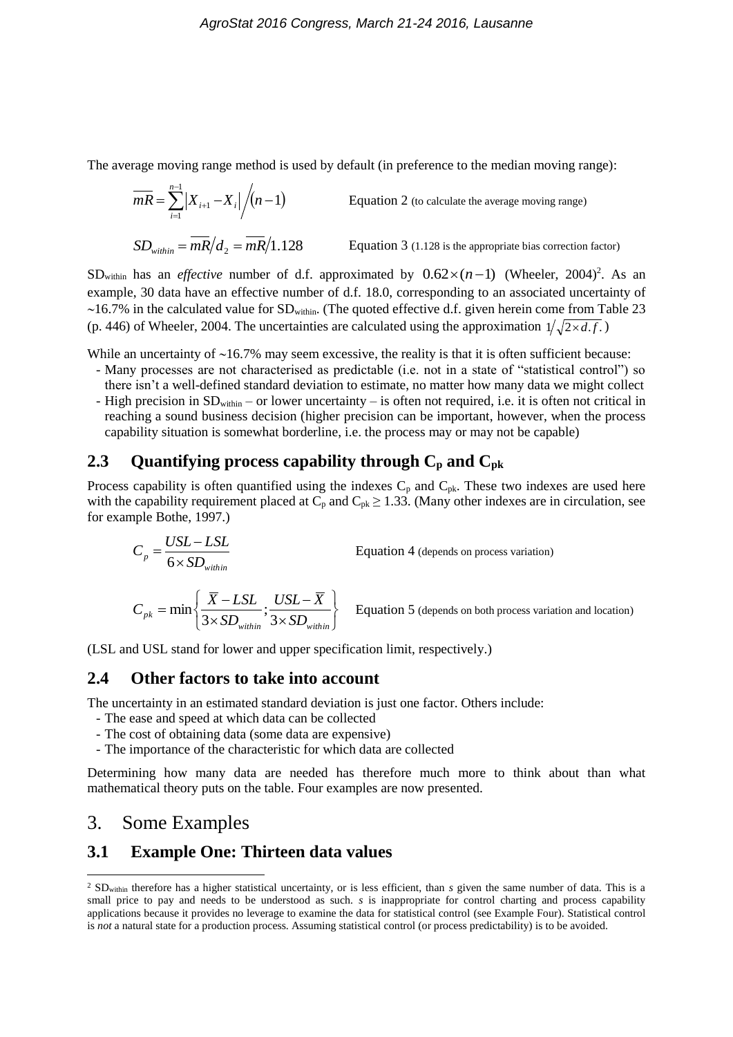The average moving range method is used by default (in preference to the median moving range):

$$
\overline{mR} = \sum_{i=1}^{n-1} |X_{i+1} - X_i| / (n-1)
$$
 Equation 2 (to calculate the average moving range)  
\n
$$
SD_{within} = \overline{mR}/d_2 = \overline{mR}/1.128
$$
 Equation 3 (1.128 is the appropriate bias correction factor)

SD<sub>within</sub> has an *effective* number of d.f. approximated by  $0.62 \times (n-1)$  (Wheeler, 2004)<sup>2</sup>. As an example, 30 data have an effective number of d.f. 18.0, corresponding to an associated uncertainty of  $\sim$ 16.7% in the calculated value for SD<sub>within</sub>. (The quoted effective d.f. given herein come from Table 23 (p. 446) of Wheeler, 2004. The uncertainties are calculated using the approximation  $1/\sqrt{2 \times d.f.}$ )

While an uncertainty of  $~16.7\%$  may seem excessive, the reality is that it is often sufficient because:

- Many processes are not characterised as predictable (i.e. not in a state of "statistical control") so there isn't a well-defined standard deviation to estimate, no matter how many data we might collect
- High precision in SDwithin or lower uncertainty is often not required, i.e. it is often not critical in reaching a sound business decision (higher precision can be important, however, when the process capability situation is somewhat borderline, i.e. the process may or may not be capable)

### **2.3 Quantifying process capability through C<sup>p</sup> and Cpk**

Process capability is often quantified using the indexes  $C_p$  and  $C_{pk}$ . These two indexes are used here with the capability requirement placed at  $C_p$  and  $C_{pk} \ge 1.33$ . (Many other indexes are in circulation, see for example Bothe, 1997.)

$$
C_p = \frac{USL - LSL}{6 \times SD_{within}}
$$
Equation 4 (depends on process variation)  

$$
C_{pk} = \min \left\{ \frac{\overline{X} - LSL}{3 \times SD_{within}}; \frac{USL - \overline{X}}{3 \times SD_{within}} \right\}
$$
Equation 5 (depends on both process variation and location)

(LSL and USL stand for lower and upper specification limit, respectively.)

#### **2.4 Other factors to take into account**

The uncertainty in an estimated standard deviation is just one factor. Others include:

- The ease and speed at which data can be collected
- The cost of obtaining data (some data are expensive)
- The importance of the characteristic for which data are collected

Determining how many data are needed has therefore much more to think about than what mathematical theory puts on the table. Four examples are now presented.

## 3. Some Examples

### **3.1 Example One: Thirteen data values**

 $\overline{a}$ <sup>2</sup> SD<sub>within</sub> therefore has a higher statistical uncertainty, or is less efficient, than *s* given the same number of data. This is a small price to pay and needs to be understood as such. *s* is inappropriate for control charting and process capability applications because it provides no leverage to examine the data for statistical control (see Example Four). Statistical control is *not* a natural state for a production process. Assuming statistical control (or process predictability) is to be avoided.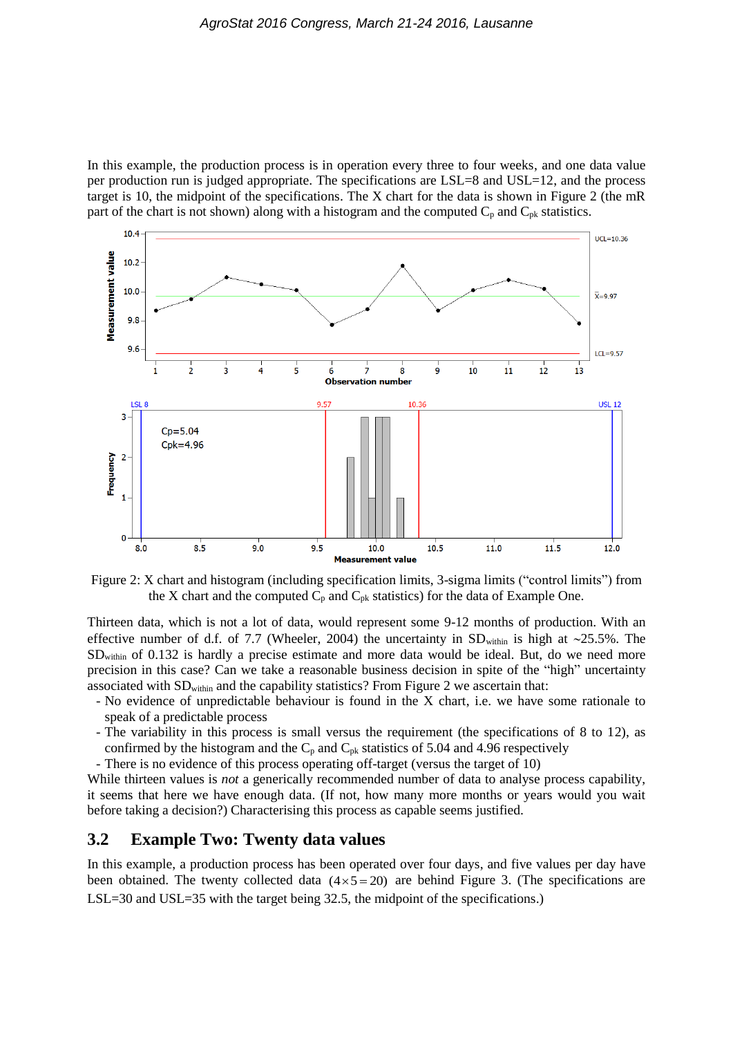In this example, the production process is in operation every three to four weeks, and one data value per production run is judged appropriate. The specifications are LSL=8 and USL=12, and the process target is 10, the midpoint of the specifications. The X chart for the data is shown in Figure 2 (the mR part of the chart is not shown) along with a histogram and the computed  $C_p$  and  $C_{pk}$  statistics.



Figure 2: X chart and histogram (including specification limits, 3-sigma limits ("control limits") from the X chart and the computed  $C_p$  and  $C_{pk}$  statistics) for the data of Example One.

Thirteen data, which is not a lot of data, would represent some 9-12 months of production. With an effective number of d.f. of 7.7 (Wheeler, 2004) the uncertainty in  $SD_{within}$  is high at  $\sim$ 25.5%. The SDwithin of 0.132 is hardly a precise estimate and more data would be ideal. But, do we need more precision in this case? Can we take a reasonable business decision in spite of the "high" uncertainty associated with SDwithin and the capability statistics? From Figure 2 we ascertain that:

- No evidence of unpredictable behaviour is found in the X chart, i.e. we have some rationale to speak of a predictable process
- The variability in this process is small versus the requirement (the specifications of 8 to 12), as confirmed by the histogram and the  $C_p$  and  $C_{pk}$  statistics of 5.04 and 4.96 respectively
- There is no evidence of this process operating off-target (versus the target of 10)

While thirteen values is *not* a generically recommended number of data to analyse process capability, it seems that here we have enough data. (If not, how many more months or years would you wait before taking a decision?) Characterising this process as capable seems justified.

#### **3.2 Example Two: Twenty data values**

In this example, a production process has been operated over four days, and five values per day have been obtained. The twenty collected data  $(4 \times 5 = 20)$  are behind Figure 3. (The specifications are LSL=30 and USL=35 with the target being 32.5, the midpoint of the specifications.)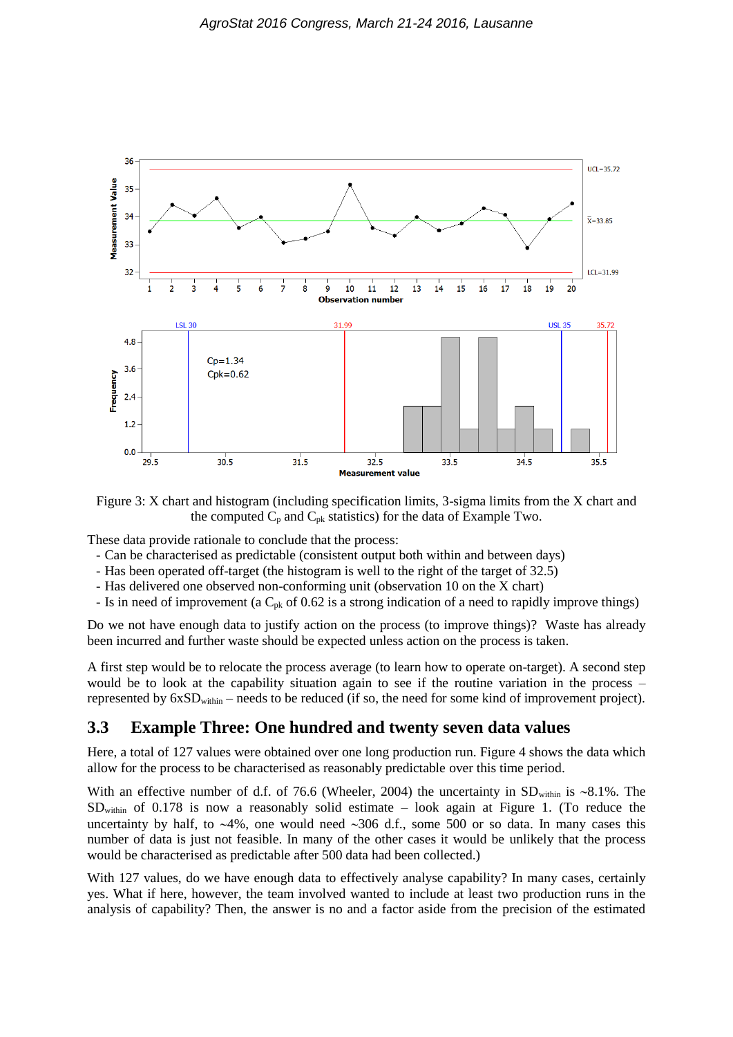

Figure 3: X chart and histogram (including specification limits, 3-sigma limits from the X chart and the computed  $C_p$  and  $C_{pk}$  statistics) for the data of Example Two.

These data provide rationale to conclude that the process:

- Can be characterised as predictable (consistent output both within and between days)
- Has been operated off-target (the histogram is well to the right of the target of 32.5)
- Has delivered one observed non-conforming unit (observation 10 on the X chart)
- Is in need of improvement (a  $C_{pk}$  of 0.62 is a strong indication of a need to rapidly improve things)

Do we not have enough data to justify action on the process (to improve things)? Waste has already been incurred and further waste should be expected unless action on the process is taken.

A first step would be to relocate the process average (to learn how to operate on-target). A second step would be to look at the capability situation again to see if the routine variation in the process – represented by  $6xSD<sub>within</sub>$  – needs to be reduced (if so, the need for some kind of improvement project).

### **3.3 Example Three: One hundred and twenty seven data values**

Here, a total of 127 values were obtained over one long production run. Figure 4 shows the data which allow for the process to be characterised as reasonably predictable over this time period.

With an effective number of d.f. of 76.6 (Wheeler, 2004) the uncertainty in  $SD<sub>within</sub>$  is ~8.1%. The SDwithin of 0.178 is now a reasonably solid estimate – look again at Figure 1. (To reduce the uncertainty by half, to  $\sim$ 4%, one would need  $\sim$ 306 d.f., some 500 or so data. In many cases this number of data is just not feasible. In many of the other cases it would be unlikely that the process would be characterised as predictable after 500 data had been collected.)

With 127 values, do we have enough data to effectively analyse capability? In many cases, certainly yes. What if here, however, the team involved wanted to include at least two production runs in the analysis of capability? Then, the answer is no and a factor aside from the precision of the estimated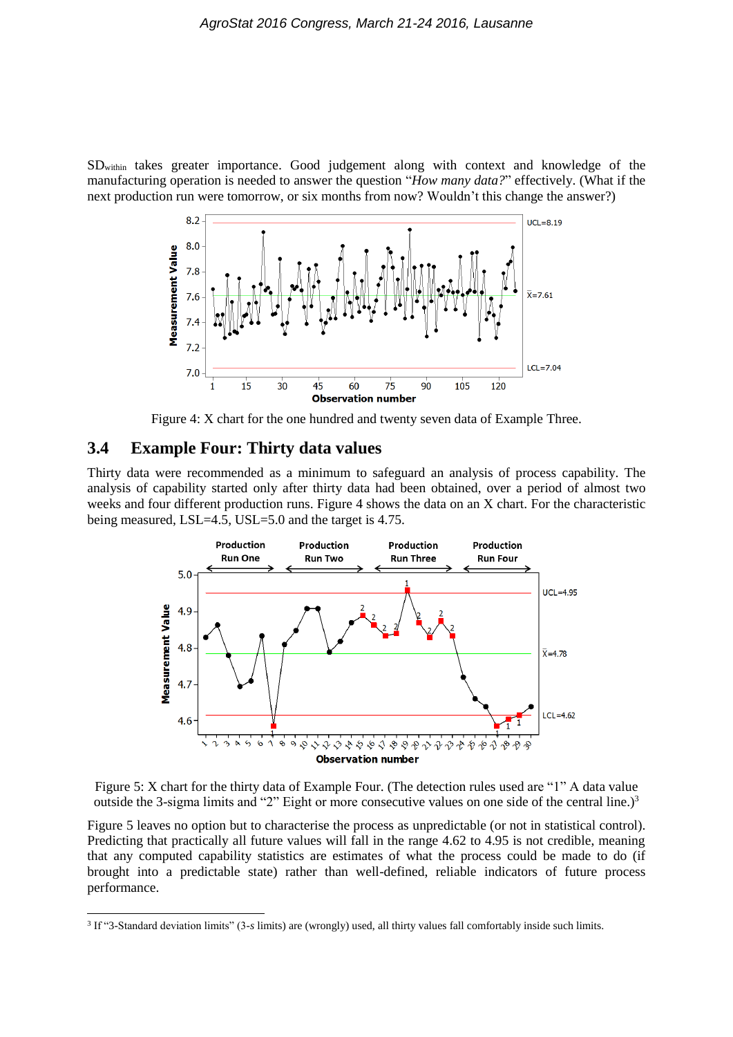SDwithin takes greater importance. Good judgement along with context and knowledge of the manufacturing operation is needed to answer the question "*How many data?*" effectively. (What if the next production run were tomorrow, or six months from now? Wouldn't this change the answer?)



Figure 4: X chart for the one hundred and twenty seven data of Example Three.

#### **3.4 Example Four: Thirty data values**

Thirty data were recommended as a minimum to safeguard an analysis of process capability. The analysis of capability started only after thirty data had been obtained, over a period of almost two weeks and four different production runs. Figure 4 shows the data on an X chart. For the characteristic being measured, LSL=4.5, USL=5.0 and the target is 4.75.



Figure 5: X chart for the thirty data of Example Four. (The detection rules used are "1" A data value outside the 3-sigma limits and "2" Eight or more consecutive values on one side of the central line.)<sup>3</sup>

Figure 5 leaves no option but to characterise the process as unpredictable (or not in statistical control). Predicting that practically all future values will fall in the range 4.62 to 4.95 is not credible, meaning that any computed capability statistics are estimates of what the process could be made to do (if brought into a predictable state) rather than well-defined, reliable indicators of future process performance.

<sup>3</sup> If "3-Standard deviation limits" (3-*s* limits) are (wrongly) used, all thirty values fall comfortably inside such limits.